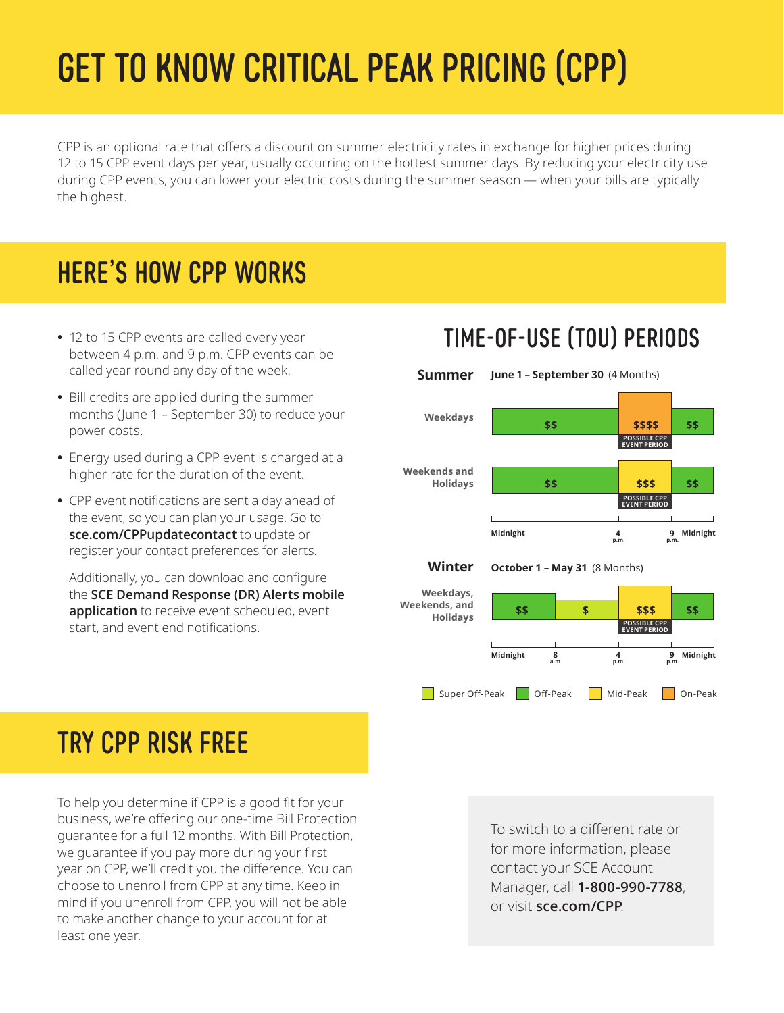# GET TO KNOW CRITICAL PEAK PRICING (CPP)

CPP is an optional rate that offers a discount on summer electricity rates in exchange for higher prices during 12 to 15 CPP event days per year, usually occurring on the hottest summer days. By reducing your electricity use during CPP events, you can lower your electric costs during the summer season — when your bills are typically the highest.

# HERE'S HOW CPP WORKS

- 12 to 15 CPP events are called every year between 4 p.m. and 9 p.m. CPP events can be called year round any day of the week.
- Bill credits are applied during the summer months (June 1 – September 30) to reduce your power costs.
- Energy used during a CPP event is charged at a higher rate for the duration of the event.
- CPP event notifications are sent a day ahead of the event, so you can plan your usage. Go to **[sce.com/CPPupdatecontact](https://sce.com/CPPupdatecontact)** to update or register your contact preferences for alerts.

Additionally, you can download and configure the **[SCE Demand Response \(DR\) Alerts mobile](https://www.sce.com/business/savings-incentives/demand-response/demand-response-mobile-app?ecid=van_drwebsitealerts)  [application](https://www.sce.com/business/savings-incentives/demand-response/demand-response-mobile-app?ecid=van_drwebsitealerts)** to receive event scheduled, event start, and event end notifications.

# TIME-OF-USE (TOU) PERIODS



# TRY CPP RISK FREE

To help you determine if CPP is a good fit for your business, we're offering our one-time Bill Protection guarantee for a full 12 months. With Bill Protection, we guarantee if you pay more during your first year on CPP, we'll credit you the difference. You can choose to unenroll from CPP at any time. Keep in mind if you unenroll from CPP, you will not be able to make another change to your account for at least one year.

To switch to a different rate or for more information, please contact your SCE Account Manager, call **1-800-990-7788**, or visit **[sce.com/CPP](http://www.sce.com/CPP)**.